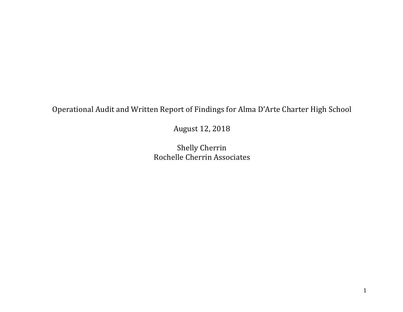Operational Audit and Written Report of Findings for Alma D'Arte Charter High School

August 12, 2018

Shelly Cherrin Rochelle Cherrin Associates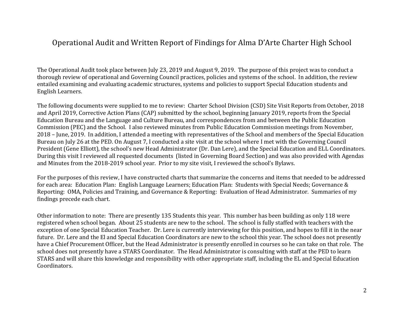# Operational Audit and Written Report of Findings for Alma D'Arte Charter High School

The Operational Audit took place between July 23, 2019 and August 9, 2019. The purpose of this project was to conduct a thorough review of operational and Governing Council practices, policies and systems of the school. In addition, the review entailed examining and evaluating academic structures, systems and policies to support Special Education students and English Learners. 

The following documents were supplied to me to review: Charter School Division (CSD) Site Visit Reports from October, 2018 and April 2019, Corrective Action Plans (CAP) submitted by the school, beginning January 2019, reports from the Special Education Bureau and the Language and Culture Bureau, and correspondences from and between the Public Education Commission (PEC) and the School. I also reviewed minutes from Public Education Commission meetings from November, 2018 – June, 2019. In addition, I attended a meeting with representatives of the School and members of the Special Education Bureau on July 26 at the PED. On August 7, I conducted a site visit at the school where I met with the Governing Council President (Gene Elliott), the school's new Head Administrator (Dr. Dan Lere), and the Special Education and ELL Coordinators. During this visit I reviewed all requested documents (listed in Governing Board Section) and was also provided with Agendas and Minutes from the 2018-2019 school year. Prior to my site visit, I reviewed the school's Bylaws.

For the purposes of this review, I have constructed charts that summarize the concerns and items that needed to be addressed for each area: Education Plan: English Language Learners; Education Plan: Students with Special Needs; Governance & Reporting: OMA, Policies and Training, and Governance & Reporting: Evaluation of Head Administrator. Summaries of my findings precede each chart.

Other information to note: There are presently 135 Students this year. This number has been building as only 118 were registered when school began. About 25 students are new to the school. The school is fully staffed with teachers with the exception of one Special Education Teacher. Dr. Lere is currently interviewing for this position, and hopes to fill it in the near future. Dr. Lere and the El and Special Education Coordinators are new to the school this year. The school does not presently have a Chief Procurement Officer, but the Head Administrator is presently enrolled in courses so he can take on that role. The school does not presently have a STARS Coordinator. The Head Administrator is consulting with staff at the PED to learn STARS and will share this knowledge and responsibility with other appropriate staff, including the EL and Special Education Coordinators.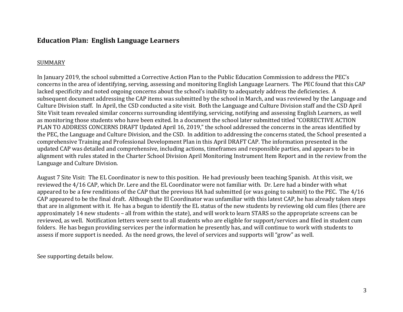## **Education Plan: English Language Learners**

#### SUMMARY

In January 2019, the school submitted a Corrective Action Plan to the Public Education Commission to address the PEC's concerns in the area of identifying, serving, assessing and monitoring English Language Learners. The PEC found that this CAP lacked specificity and noted ongoing concerns about the school's inability to adequately address the deficiencies. A subsequent document addressing the CAP items was submitted by the school in March, and was reviewed by the Language and Culture Division staff. In April, the CSD conducted a site visit. Both the Language and Culture Division staff and the CSD April Site Visit team revealed similar concerns surrounding identifying, servicing, notifying and assessing English Learners, as well as monitoring those students who have been exited. In a document the school later submitted titled "CORRECTIVE ACTION PLAN TO ADDRESS CONCERNS DRAFT Updated April 16, 2019," the school addressed the concerns in the areas identified by the PEC, the Language and Culture Division, and the CSD. In addition to addressing the concerns stated, the School presented a comprehensive Training and Professional Development Plan in this April DRAFT CAP. The information presented in the updated CAP was detailed and comprehensive, including actions, timeframes and responsible parties, and appears to be in alignment with rules stated in the Charter School Division April Monitoring Instrument Item Report and in the review from the Language and Culture Division.

August 7 Site Visit: The EL Coordinator is new to this position. He had previously been teaching Spanish. At this visit, we reviewed the 4/16 CAP, which Dr. Lere and the EL Coordinator were not familiar with. Dr. Lere had a binder with what appeared to be a few renditions of the CAP that the previous HA had submitted (or was going to submit) to the PEC. The 4/16 CAP appeared to be the final draft. Although the El Coordinator was unfamiliar with this latest CAP, he has already taken steps that are in alignment with it. He has a begun to identify the EL status of the new students by reviewing old cum files (there are approximately 14 new students – all from within the state), and will work to learn STARS so the appropriate screens can be reviewed, as well. Notification letters were sent to all students who are eligible for support/services and filed in student cum folders. He has begun providing services per the information he presently has, and will continue to work with students to assess if more support is needed. As the need grows, the level of services and supports will "grow" as well.

See supporting details below.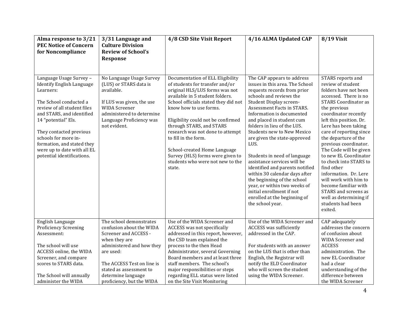| Alma response to 3/21<br><b>PEC Notice of Concern</b><br>for Noncompliance                                                                                                                                                                                                                                                          | 3/31 Language and<br><b>Culture Division</b><br><b>Review of School's</b><br>Response                                                                                                                                                               | 4/8 CSD Site Visit Report                                                                                                                                                                                                                                                                                                                                                                                                                                  | 4/16 ALMA Updated CAP                                                                                                                                                                                                                                                                                                                                                                                                                                                                                                                                                                                                                     | <b>8/19 Visit</b>                                                                                                                                                                                                                                                                                                                                                                                                                                                                                                                                     |
|-------------------------------------------------------------------------------------------------------------------------------------------------------------------------------------------------------------------------------------------------------------------------------------------------------------------------------------|-----------------------------------------------------------------------------------------------------------------------------------------------------------------------------------------------------------------------------------------------------|------------------------------------------------------------------------------------------------------------------------------------------------------------------------------------------------------------------------------------------------------------------------------------------------------------------------------------------------------------------------------------------------------------------------------------------------------------|-------------------------------------------------------------------------------------------------------------------------------------------------------------------------------------------------------------------------------------------------------------------------------------------------------------------------------------------------------------------------------------------------------------------------------------------------------------------------------------------------------------------------------------------------------------------------------------------------------------------------------------------|-------------------------------------------------------------------------------------------------------------------------------------------------------------------------------------------------------------------------------------------------------------------------------------------------------------------------------------------------------------------------------------------------------------------------------------------------------------------------------------------------------------------------------------------------------|
| Language Usage Survey -<br><b>Identify English Language</b><br>Learners:<br>The School conducted a<br>review of all student files<br>and STARS, and identified<br>14 "potential" Els.<br>They contacted previous<br>schools for more in-<br>formation, and stated they<br>were up to date with all EL<br>potential identifications. | No Language Usage Survey<br>(LUS) or STARS data is<br>available.<br>If LUS was given, the use<br><b>WIDA Screener</b><br>administered to determine<br>Language Proficiency was<br>not evident.                                                      | Documentation of ELL Eligibility<br>of students for transfer and/or<br>original HLS/LUS forms was not<br>available in 5 student folders.<br>School officials stated they did not<br>know how to use forms.<br>Eligibility could not be confirmed<br>through STARS, and STARS<br>research was not done to attempt<br>to fill in the form.<br>School-created Home Language<br>Survey (HLS) forms were given to<br>students who were not new to the<br>state. | The CAP appears to address<br>issues in this area. The School<br>requests records from prior<br>schools and reviews the<br>Student Display screen-<br>Assessment Facts in STARS.<br>Information is documented<br>and placed in student cum<br>folders in lieu of the LUS.<br><b>Students new to New Mexico</b><br>are given the state-approved<br>LUS.<br>Students in need of language<br>assistance services will be<br>identified and parents notified<br>within 30 calendar days after<br>the beginning of the school<br>year, or within two weeks of<br>initial enrollment if not<br>enrolled at the beginning of<br>the school year. | STARS reports and<br>review of student<br>folders have not been<br>accessed. There is no<br><b>STARS Coordinator as</b><br>the previous<br>coordinator recently<br>left this position. Dr.<br>Lere has been taking<br>care of reporting since<br>the departure of the<br>previous coordinator.<br>The Code will be given<br>to new EL Coordinator<br>to check into STARS to<br>find other<br>information. Dr. Lere<br>will work with him to<br>become familiar with<br>STARS and screens as<br>well as determining if<br>students had been<br>exited. |
| English Language<br><b>Proficiency Screening</b><br>Assessment:<br>The school will use<br>ACCESS online, the WIDA<br>Screener, and compare<br>scores to STARS data.<br>The School will annually<br>administer the WIDA                                                                                                              | The school demonstrates<br>confusion about the WIDA<br>Screener and ACCESS -<br>when they are<br>administered and how they<br>are used:<br>The ACCESS Test on line is<br>stated as assessment to<br>determine language<br>proficiency, but the WIDA | Use of the WIDA Screener and<br>ACCESS was not specifically<br>addressed in this report, however,<br>the CSD team explained the<br>process to the then Head<br>Administrator, several Governing<br>Board members and at least three<br>staff members. The school's<br>major responsibilities or steps<br>regarding ELL status were listed<br>on the Site Visit Monitoring                                                                                  | Use of the WIDA Screener and<br><b>ACCESS</b> was sufficiently<br>addressed in the CAP.<br>For students with an answer<br>on the LUS that is other than<br>English, the Registrar will<br>notify the ELD Coordinator<br>who will screen the student<br>using the WIDA Screener.                                                                                                                                                                                                                                                                                                                                                           | CAP adequately<br>addresses the concern<br>of confusion about<br>WIDA Screener and<br><b>ACCESS</b><br>administration. The<br>new EL Coordinator<br>had a clear<br>understanding of the<br>difference between<br>the WIDA Screener                                                                                                                                                                                                                                                                                                                    |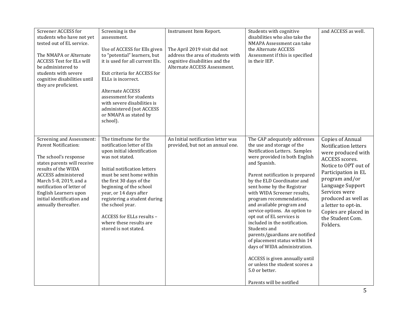| Screener ACCESS for<br>students who have not yet<br>tested out of EL service.<br>The NMAPA or Alternate<br><b>ACCESS Test for ELs will</b><br>be administered to<br>students with severe<br>cognitive disabilities until<br>they are proficient.                                                     | Screening is the<br>assessment.<br>Use of ACCESS for Ells given<br>to "potential" learners, but<br>it is used for all current Els.<br>Exit criteria for ACCESS for<br>ELLs is incorrect.<br>Alternate ACCESS<br>assessment for students<br>with severe disabilities is<br>administered (not ACCESS<br>or NMAPA as stated by<br>school).                                                 | Instrument Item Report.<br>The April 2019 visit did not<br>address the area of students with<br>cognitive disabilities and the<br>Alternate ACCESS Assessment. | Students with cognitive<br>disabilities who also take the<br>NMAPA Assessment can take<br>the Alternate ACCESS<br>Assessment if this is specified<br>in their IEP.                                                                                                                                                                                                                                                                                                                                                                                                                                                                                                      | and ACCESS as well.                                                                                                                                                                                                                                                                                 |
|------------------------------------------------------------------------------------------------------------------------------------------------------------------------------------------------------------------------------------------------------------------------------------------------------|-----------------------------------------------------------------------------------------------------------------------------------------------------------------------------------------------------------------------------------------------------------------------------------------------------------------------------------------------------------------------------------------|----------------------------------------------------------------------------------------------------------------------------------------------------------------|-------------------------------------------------------------------------------------------------------------------------------------------------------------------------------------------------------------------------------------------------------------------------------------------------------------------------------------------------------------------------------------------------------------------------------------------------------------------------------------------------------------------------------------------------------------------------------------------------------------------------------------------------------------------------|-----------------------------------------------------------------------------------------------------------------------------------------------------------------------------------------------------------------------------------------------------------------------------------------------------|
| Screening and Assessment:<br><b>Parent Notification:</b><br>The school's response<br>states parents will receive<br>results of the WIDA<br>ACCESS administered<br>March 5-8, 2019, and a<br>notification of letter of<br>English Learners upon<br>initial identification and<br>annually thereafter. | The timeframe for the<br>notification letter of Els<br>upon initial identification<br>was not stated.<br>Initial notification letters<br>must be sent home within<br>the first 30 days of the<br>beginning of the school<br>year, or 14 days after<br>registering a student during<br>the school year.<br>ACCESS for ELLs results -<br>where these results are<br>stored is not stated. | An Initial notification letter was<br>provided, but not an annual one.                                                                                         | The CAP adequately addresses<br>the use and storage of the<br>Notification Letters. Samples<br>were provided in both English<br>and Spanish.<br>Parent notification is prepared<br>by the ELD Coordinator and<br>sent home by the Registrar<br>with WIDA Screener results,<br>program recommendations,<br>and available program and<br>service options. An option to<br>opt out of EL services is<br>included in the notification.<br>Students and<br>parents/guardians are notified<br>of placement status within 14<br>days of WIDA administration.<br>ACCESS is given annually until<br>or unless the student scores a<br>5.0 or better.<br>Parents will be notified | <b>Copies of Annual</b><br>Notification letters<br>were produced with<br>ACCESS scores.<br>Notice to OPT out of<br>Participation in EL<br>program and/or<br>Language Support<br>Services were<br>produced as well as<br>a letter to opt-in.<br>Copies are placed in<br>the Student Com.<br>Folders. |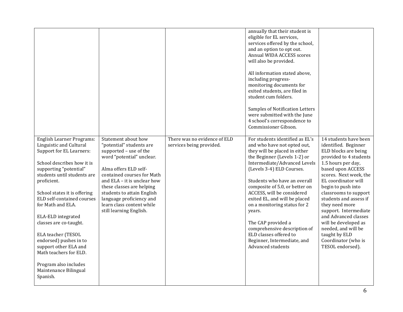|                                                                                                                                                                                                                                                                                                                                                                                                                                                                                                   |                                                                                                                                                                                                                                                                                                                                             |                                                          | annually that their student is<br>eligible for EL services,<br>services offered by the school,<br>and an option to opt out.<br>Annual WIDA ACCESS scores<br>will also be provided.<br>All information stated above,<br>including progress-<br>monitoring documents for<br>exited students, are filed in<br>student cum folders.<br>Samples of Notification Letters<br>were submitted with the June<br>4 school's correspondence to<br>Commissioner Gibson.                                                  |                                                                                                                                                                                                                                                                                                                                                                                                                                                    |
|---------------------------------------------------------------------------------------------------------------------------------------------------------------------------------------------------------------------------------------------------------------------------------------------------------------------------------------------------------------------------------------------------------------------------------------------------------------------------------------------------|---------------------------------------------------------------------------------------------------------------------------------------------------------------------------------------------------------------------------------------------------------------------------------------------------------------------------------------------|----------------------------------------------------------|-------------------------------------------------------------------------------------------------------------------------------------------------------------------------------------------------------------------------------------------------------------------------------------------------------------------------------------------------------------------------------------------------------------------------------------------------------------------------------------------------------------|----------------------------------------------------------------------------------------------------------------------------------------------------------------------------------------------------------------------------------------------------------------------------------------------------------------------------------------------------------------------------------------------------------------------------------------------------|
| <b>English Learner Programs:</b><br>Linguistic and Cultural<br>Support for EL Learners:<br>School describes how it is<br>supporting "potential"<br>students until students are<br>proficient.<br>School states it is offering<br>ELD self-contained courses<br>for Math and ELA.<br>ELA-ELD integrated<br>classes are co-taught.<br>ELA teacher (TESOL<br>endorsed) pushes in to<br>support other ELA and<br>Math teachers for ELD.<br>Program also includes<br>Maintenance Bilingual<br>Spanish. | Statement about how<br>"potential" students are<br>supported - use of the<br>word "potential" unclear.<br>Alma offers ELD self-<br>contained courses for Math<br>and ELA - it is unclear how<br>these classes are helping<br>students to attain English<br>language proficiency and<br>learn class content while<br>still learning English. | There was no evidence of ELD<br>services being provided. | For students identified as EL's<br>and who have not opted out,<br>they will be placed in either<br>the Beginner (Levels 1-2) or<br>Intermediate/Advanced Levels<br>(Levels 3-4) ELD Courses.<br>Students who have an overall<br>composite of 5.0, or better on<br>ACCESS, will be considered<br>exited EL, and will be placed<br>on a monitoring status for 2<br>years.<br>The CAP provided a<br>comprehensive description of<br>ELD classes offered to<br>Beginner, Intermediate, and<br>Advanced students | 14 students have been<br>identified. Beginner<br>ELD blocks are being<br>provided to 4 students<br>1.5 hours per day,<br>based upon ACCESS<br>scores. Next week, the<br>EL coordinator will<br>begin to push into<br>classrooms to support<br>students and assess if<br>they need more<br>support. Intermediate<br>and Advanced classes<br>will be developed as<br>needed, and will be<br>taught by ELD<br>Coordinator (who is<br>TESOL endorsed). |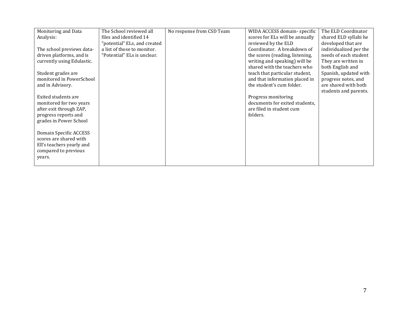| Monitoring and Data        | The School reviewed all      | No response from CSD Team | WIDA ACCESS domain-specific     | The ELD Coordinator    |
|----------------------------|------------------------------|---------------------------|---------------------------------|------------------------|
| Analysis:                  | files and identified 14      |                           | scores for ELs will be annually | shared ELD syllabi he  |
|                            | "potential" ELs, and created |                           | reviewed by the ELD             | developed that are     |
| The school previews data-  | a list of those to monitor.  |                           | Coordinator. A breakdown of     | individualized per the |
| driven platforms, and is   | "Potential" ELs is unclear.  |                           | the scores (reading, listening, | needs of each student  |
| currently using Edulastic. |                              |                           | writing and speaking) will be   | They are written in    |
|                            |                              |                           | shared with the teachers who    | both English and       |
| Student grades are         |                              |                           | teach that particular student,  | Spanish, updated with  |
| monitored in PowerSchool   |                              |                           | and that information placed in  | progress notes, and    |
| and in Advisory.           |                              |                           | the student's cum folder.       | are shared with both   |
|                            |                              |                           |                                 | students and parents.  |
| Exited students are        |                              |                           | Progress monitoring             |                        |
| monitored for two years    |                              |                           | documents for exited students,  |                        |
| after exit through ZAP,    |                              |                           | are filed in student cum        |                        |
| progress reports and       |                              |                           | folders.                        |                        |
| grades in Power School     |                              |                           |                                 |                        |
|                            |                              |                           |                                 |                        |
| Domain Specific ACCESS     |                              |                           |                                 |                        |
| scores are shared with     |                              |                           |                                 |                        |
| Ell's teachers yearly and  |                              |                           |                                 |                        |
| compared to previous       |                              |                           |                                 |                        |
| years.                     |                              |                           |                                 |                        |
|                            |                              |                           |                                 |                        |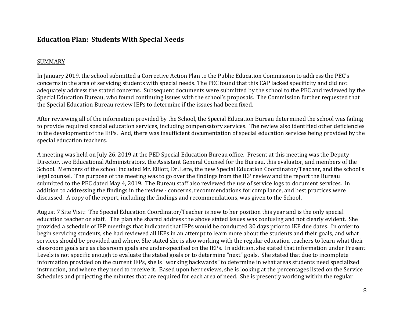### **Education Plan: Students With Special Needs**

#### SUMMARY

In January 2019, the school submitted a Corrective Action Plan to the Public Education Commission to address the PEC's concerns in the area of servicing students with special needs. The PEC found that this CAP lacked specificity and did not adequately address the stated concerns. Subsequent documents were submitted by the school to the PEC and reviewed by the Special Education Bureau, who found continuing issues with the school's proposals. The Commission further requested that the Special Education Bureau review IEPs to determine if the issues had been fixed.

After reviewing all of the information provided by the School, the Special Education Bureau determined the school was failing to provide required special education services, including compensatory services. The review also identified other deficiencies in the development of the IEPs. And, there was insufficient documentation of special education services being provided by the special education teachers.

A meeting was held on July 26, 2019 at the PED Special Education Bureau office. Present at this meeting was the Deputy Director, two Educational Administrators, the Assistant General Counsel for the Bureau, this evaluator, and members of the School. Members of the school included Mr. Elliott, Dr. Lere, the new Special Education Coordinator/Teacher, and the school's legal counsel. The purpose of the meeting was to go over the findings from the IEP review and the report the Bureau submitted to the PEC dated May 4, 2019. The Bureau staff also reviewed the use of service logs to document services. In addition to addressing the findings in the review - concerns, recommendations for compliance, and best practices were discussed. A copy of the report, including the findings and recommendations, was given to the School.

August 7 Site Visit: The Special Education Coordinator/Teacher is new to her position this year and is the only special education teacher on staff. The plan she shared address the above stated issues was confusing and not clearly evident. She provided a schedule of IEP meetings that indicated that IEPs would be conducted 30 days prior to IEP due dates. In order to begin servicing students, she had reviewed all IEPs in an attempt to learn more about the students and their goals, and what services should be provided and where. She stated she is also working with the regular education teachers to learn what their classroom goals are as classroom goals are under-specified on the IEPs. In addition, she stated that information under Present Levels is not specific enough to evaluate the stated goals or to determine "next" goals. She stated that due to incomplete information provided on the current IEPs, she is "working backwards" to determine in what areas students need specialized instruction, and where they need to receive it. Based upon her reviews, she is looking at the percentages listed on the Service Schedules and projecting the minutes that are required for each area of need. She is presently working within the regular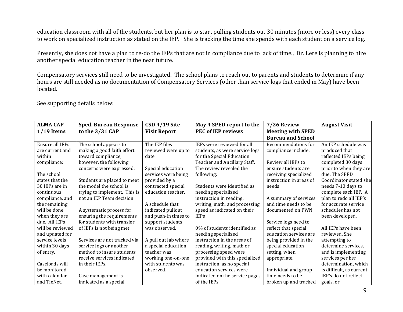education classroom with all of the students, but her plan is to start pulling students out 30 minutes (more or less) every class to work on specialized instruction as stated on the IEP. She is tracking the time she spends with each student on a service log.

Presently, she does not have a plan to re-do the IEPs that are not in compliance due to lack of time., Dr. Lere is planning to hire another special education teacher in the near future.

Compensatory services still need to be investigated. The school plans to reach out to parents and students to determine if any hours are still needed as no documentation of Compensatory Services (other than service logs that ended in May) have been located.

See supporting details below:

| <b>ALMA CAP</b>  | <b>Sped. Bureau Response</b> | CSD 4/19 Site        | May 4 SPED report to the       | 7/26 Review              | <b>August Visit</b>      |
|------------------|------------------------------|----------------------|--------------------------------|--------------------------|--------------------------|
| $1/19$ Items     | to the 3/31 CAP              | <b>Visit Report</b>  | <b>PEC of IEP reviews</b>      | <b>Meeting with SPED</b> |                          |
|                  |                              |                      |                                | <b>Bureau and School</b> |                          |
| Ensure all IEPs  | The school appears to        | The IEP files        | IEPs were reviewed for all     | Recommendations for      | An IEP schedule was      |
| are current and  | making a good faith effort   | reviewed were up to  | students, as were service logs | compliance include:      | produced that            |
| within           | toward compliance,           | date.                | for the Special Education      |                          | reflected IEPs being     |
| compliance:      | however, the following       |                      | Teacher and Ancillary Staff.   | Review all IEPs to       | completed 30 days        |
|                  | concerns were expressed:     | Special education    | The review revealed the        | ensure students are      | prior to when they are   |
| The school       |                              | services were being  | following:                     | receiving specialized    | due. The SPED            |
| states that the  | Students are placed to meet  | provided by a        |                                | instruction in areas of  | Coordinator stated she   |
| 30 IEPs are in   | the model the school is      | contracted special   | Students were identified as    | needs                    | needs 7-10 days to       |
| continuous       | trying to implement. This is | education teacher.   | needing specialized            |                          | complete each IEP. A     |
| compliance, and  | not an IEP Team decision.    |                      | instruction in reading,        | A summary of services    | plan to redo all IEP's   |
| the remaining    |                              | A schedule that      | writing, math, and processing  | and time needs to be     | for accurate service     |
| will be done     | A systematic process for     | indicated pullout    | speed as indicated on their    | documented on PWN.       | schedules has not        |
| when they are    | ensuring the requirements    | and push-in times to | <b>IEPs</b>                    |                          | been developed.          |
| due. All IEPs    | for students with transfer   | support students     |                                | Service logs need to     |                          |
| will be reviewed | of IEPs is not being met.    | was observed.        | 0% of students identified as   | reflect that special     | All IEPs have been       |
| and updated for  |                              |                      | needing specialized            | education services are   | reviewed, She            |
| service levels   | Services are not tracked via | A pull out lab where | instruction in the areas of    | being provided in the    | attempting to            |
| within 30 days   | service logs or another      | a special education  | reading, writing, math or      | special education        | determine services,      |
| of entry.        | method to insure students    | teacher was          | processing speed were          | setting, when            | and is implementing      |
|                  | receive services indicated   | working one-on-one   | provided with this specialized | appropriate.             | services per her         |
| Caseloads will   | in their IEPs.               | with students was    | instruction, as no special     |                          | determination, which     |
| be monitored     |                              | observed.            | education services were        | Individual and group     | is difficult, as current |
| with calendar    | Case management is           |                      | indicated on the service pages | time needs to be         | IEP's do not reflect     |
| and TieNet.      | indicated as a special       |                      | of the IEPs.                   | broken up and tracked    | goals, or                |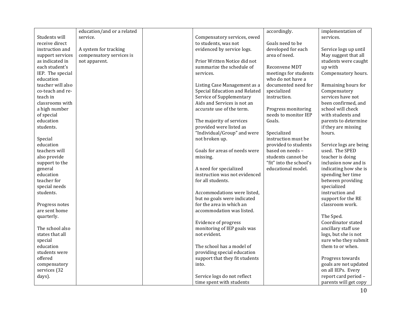|                              | education/and or a related |                                                          | accordingly.            | implementation of                         |
|------------------------------|----------------------------|----------------------------------------------------------|-------------------------|-------------------------------------------|
| Students will                | service.                   | Compensatory services, owed                              |                         | services.                                 |
| receive direct               |                            | to students, was not                                     | Goals need to be        |                                           |
| instruction and              | A system for tracking      | evidenced by service logs.                               | developed for each      | Service logs up until                     |
| support services             | compensatory services is   |                                                          | area of need.           | May suggest that all                      |
| as indicated in              | not apparent.              | Prior Written Notice did not                             |                         | students were caught                      |
| each student's               |                            | summarize the schedule of                                | Reconvene MDT           | up with                                   |
| IEP. The special             |                            | services.                                                | meetings for students   | Compensatory hours.                       |
| education                    |                            |                                                          | who do not have a       |                                           |
| teacher will also            |                            | Listing Case Management as a                             | documented need for     | Remaining hours for                       |
| co-teach and re-             |                            | Special Education and Related                            | specialized             | Compensatory                              |
| teach in                     |                            | Service of Supplementary                                 | instruction.            | services have not                         |
| classrooms with              |                            | Aids and Services is not an                              |                         | been confirmed, and                       |
| a high number                |                            | accurate use of the term.                                | Progress monitoring     | school will check                         |
| of special                   |                            |                                                          | needs to monitor IEP    | with students and                         |
| education                    |                            | The majority of services                                 | Goals.                  | parents to determine                      |
| students.                    |                            | provided were listed as                                  |                         | if they are missing                       |
|                              |                            | "Individual/Group" and were                              | Specialized             | hours.                                    |
| Special                      |                            | not broken up.                                           | instruction must be     |                                           |
| education                    |                            |                                                          | provided to students    | Service logs are being                    |
| teachers will                |                            | Goals for areas of needs were                            | based on needs -        | used. The SPED                            |
| also provide                 |                            | missing.                                                 | students cannot be      | teacher is doing                          |
| support to the               |                            |                                                          | "fit" into the school's | inclusion now and is                      |
| general                      |                            | A need for specialized                                   | educational model.      | indicating how she is                     |
| education                    |                            | instruction was not evidenced                            |                         | spending her time                         |
| teacher for                  |                            | for all students.                                        |                         | between providing                         |
| special needs                |                            |                                                          |                         | specialized                               |
| students.                    |                            | Accommodations were listed.                              |                         | instruction and                           |
|                              |                            | but no goals were indicated                              |                         | support for the RE                        |
| Progress notes               |                            | for the area in which an                                 |                         | classroom work.                           |
| are sent home                |                            | accommodation was listed.                                |                         |                                           |
| quarterly.                   |                            |                                                          |                         | The Sped.                                 |
|                              |                            | Evidence of progress                                     |                         | Coordinator stated                        |
| The school also              |                            | monitoring of IEP goals was                              |                         | ancillary staff use                       |
| states that all              |                            | not evident.                                             |                         | logs, but she is not                      |
| special                      |                            |                                                          |                         | sure who they submit                      |
| education<br>students were   |                            | The school has a model of<br>providing special education |                         | them to or when.                          |
|                              |                            |                                                          |                         |                                           |
| offered                      |                            | support that they fit students                           |                         | Progress towards<br>goals are not updated |
| compensatory<br>services (32 |                            | into.                                                    |                         | on all IEPs. Every                        |
|                              |                            |                                                          |                         | report card period -                      |
| days).                       |                            | Service logs do not reflect                              |                         |                                           |
|                              |                            | time spent with students                                 |                         | parents will get copy                     |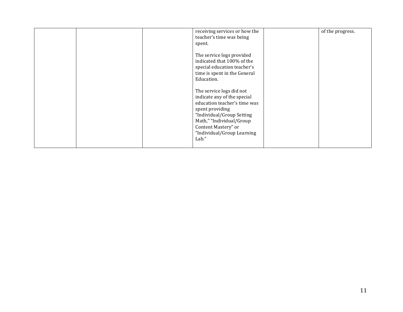|  | receiving services or how the<br>teacher's time was being<br>spent.                                                                                                                                                               | of the progress. |
|--|-----------------------------------------------------------------------------------------------------------------------------------------------------------------------------------------------------------------------------------|------------------|
|  | The service logs provided<br>indicated that 100% of the<br>special education teacher's<br>time is spent in the General<br>Education.                                                                                              |                  |
|  | The service logs did not<br>indicate any of the special<br>education teacher's time was<br>spent providing<br>"Individual/Group Setting<br>Math," "Individual/Group<br>Content Mastery" or<br>"Individual/Group Learning<br>Lab." |                  |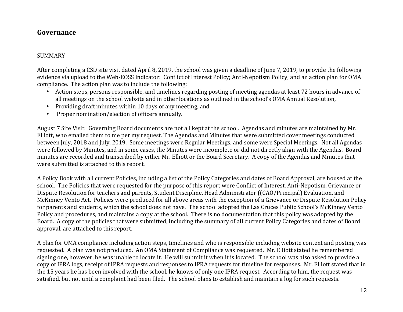### **Governance**

#### SUMMARY

After completing a CSD site visit dated April 8, 2019, the school was given a deadline of June 7, 2019, to provide the following evidence via upload to the Web-EOSS indicator: Conflict of Interest Policy; Anti-Nepotism Policy; and an action plan for OMA compliance. The action plan was to include the following:

- Action steps, persons responsible, and timelines regarding posting of meeting agendas at least 72 hours in advance of all meetings on the school website and in other locations as outlined in the school's OMA Annual Resolution,
- Providing draft minutes within 10 days of any meeting, and
- Proper nomination/election of officers annually.

August 7 Site Visit: Governing Board documents are not all kept at the school. Agendas and minutes are maintained by Mr. Elliott, who emailed them to me per my request. The Agendas and Minutes that were submitted cover meetings conducted between July, 2018 and July, 2019. Some meetings were Regular Meetings, and some were Special Meetings. Not all Agendas were followed by Minutes, and in some cases, the Minutes were incomplete or did not directly align with the Agendas. Board minutes are recorded and transcribed by either Mr. Elliott or the Board Secretary. A copy of the Agendas and Minutes that were submitted is attached to this report.

A Policy Book with all current Policies, including a list of the Policy Categories and dates of Board Approval, are housed at the school. The Policies that were requested for the purpose of this report were Conflict of Interest, Anti-Nepotism, Grievance or Dispute Resolution for teachers and parents, Student Discipline, Head Administrator ((CAO/Principal) Evaluation, and McKinney Vento Act. Policies were produced for all above areas with the exception of a Grievance or Dispute Resolution Policy for parents and students, which the school does not have. The school adopted the Las Cruces Public School's McKinney Vento Policy and procedures, and maintains a copy at the school. There is no documentation that this policy was adopted by the Board. A copy of the policies that were submitted, including the summary of all current Policy Categories and dates of Board approval, are attached to this report.

A plan for OMA compliance including action steps, timelines and who is responsible including website content and posting was requested. A plan was not produced. An OMA Statement of Compliance was requested. Mr. Elliott stated he remembered signing one, however, he was unable to locate it. He will submit it when it is located. The school was also asked to provide a copy of IPRA logs, receipt of IPRA requests and responses to IPRA requests for timeline for responses. Mr. Elliott stated that in the 15 years he has been involved with the school, he knows of only one IPRA request. According to him, the request was satisfied, but not until a complaint had been filed. The school plans to establish and maintain a log for such requests.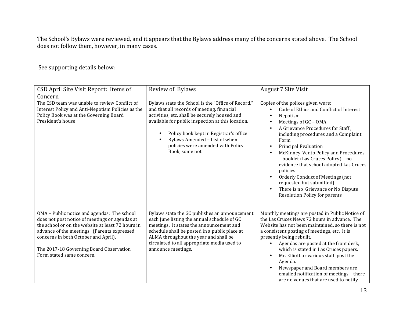The School's Bylaws were reviewed, and it appears that the Bylaws address many of the concerns stated above. The School does not follow them, however, in many cases.

See supporting details below:

| CSD April Site Visit Report: Items of                                                                                                                                                                                                                                                                             | Review of Bylaws                                                                                                                                                                                                                                                                                                                          | <b>August 7 Site Visit</b>                                                                                                                                                                                                                                                                                                                                                                                                                                                                                                                                                                                    |
|-------------------------------------------------------------------------------------------------------------------------------------------------------------------------------------------------------------------------------------------------------------------------------------------------------------------|-------------------------------------------------------------------------------------------------------------------------------------------------------------------------------------------------------------------------------------------------------------------------------------------------------------------------------------------|---------------------------------------------------------------------------------------------------------------------------------------------------------------------------------------------------------------------------------------------------------------------------------------------------------------------------------------------------------------------------------------------------------------------------------------------------------------------------------------------------------------------------------------------------------------------------------------------------------------|
| Concern<br>The CSD team was unable to review Conflict of<br>Interest Policy and Anti-Nepotism Policies as the<br>Policy Book was at the Governing Board<br>President's house.                                                                                                                                     | Bylaws state the School is the "Office of Record,"<br>and that all records of meeting, financial<br>activities, etc. shall be securely housed and<br>available for public inspection at this location.<br>Policy book kept in Registrar's office<br>Bylaws Amended - List of when<br>policies were amended with Policy<br>Book, some not. | Copies of the polices given were:<br>Code of Ethics and Conflict of Interest<br>$\bullet$<br>Nepotism<br>Meetings of GC - OMA<br>$\bullet$<br>A Grievance Procedures for Staff,<br>$\bullet$<br>including procedures and a Complaint<br>Form.<br>Principal Evaluation<br>$\bullet$<br>McKinney-Vento Policy and Procedures<br>$\bullet$<br>- booklet (Las Cruces Policy) - no<br>evidence that school adopted Las Cruces<br>policies<br>Orderly Conduct of Meetings (not<br>$\bullet$<br>requested but submitted)<br>There is no Grievance or No Dispute<br>$\bullet$<br><b>Resolution Policy for parents</b> |
| OMA - Public notice and agendas: The school<br>does not post notice of meetings or agendas at<br>the school or on the website at least 72 hours in<br>advance of the meetings. (Parents expressed<br>concerns in both October and April).<br>The 2017-18 Governing Board Observation<br>Form stated same concern. | Bylaws state the GC publishes an announcement<br>each June listing the annual schedule of GC<br>meetings. It states the announcement and<br>schedule shall be posted in a public place at<br>ALMA throughout the year and shall be<br>circulated to all appropriate media used to<br>announce meetings.                                   | Monthly meetings are posted in Public Notice of<br>the Las Cruces News 72 hours in advance. The<br>Website has not been maintained, so there is not<br>a consistent posting of meetings, etc. It is<br>presently being rebuilt.<br>Agendas are posted at the front desk,<br>which is stated in Las Cruces papers.<br>Mr. Elliott or various staff post the<br>$\bullet$<br>Agenda.<br>Newspaper and Board members are<br>$\bullet$<br>emailed notification of meetings - there<br>are no venues that are used to notify                                                                                       |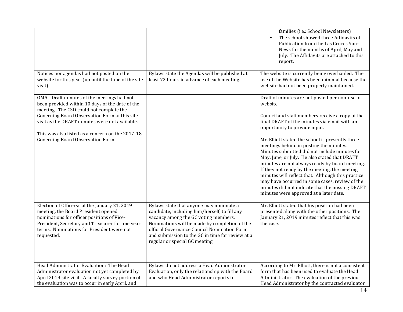|                                                                                                                                                                                                                                                                                                                                       |                                                                                                                                                                                                                                                                                                                       | families (i.e.: School Newsletters)<br>The school showed three Affidavits of<br>Publication from the Las Cruces Sun-<br>News for the months of April, May and<br>July. The Affidavits are attached to this<br>report.                                                                                                                                                                                                                                                                                                                                                                                                                                                                                  |
|---------------------------------------------------------------------------------------------------------------------------------------------------------------------------------------------------------------------------------------------------------------------------------------------------------------------------------------|-----------------------------------------------------------------------------------------------------------------------------------------------------------------------------------------------------------------------------------------------------------------------------------------------------------------------|--------------------------------------------------------------------------------------------------------------------------------------------------------------------------------------------------------------------------------------------------------------------------------------------------------------------------------------------------------------------------------------------------------------------------------------------------------------------------------------------------------------------------------------------------------------------------------------------------------------------------------------------------------------------------------------------------------|
| Notices nor agendas had not posted on the<br>website for this year (up until the time of the site<br>visit)                                                                                                                                                                                                                           | Bylaws state the Agendas will be published at<br>least 72 hours in advance of each meeting.                                                                                                                                                                                                                           | The website is currently being overhauled. The<br>use of the Website has been minimal because the<br>website had not been properly maintained.                                                                                                                                                                                                                                                                                                                                                                                                                                                                                                                                                         |
| OMA - Draft minutes of the meetings had not<br>been provided within 10 days of the date of the<br>meeting. The CSD could not complete the<br>Governing Board Observation Form at this site<br>visit as the DRAFT minutes were not available.<br>This was also listed as a concern on the 2017-18<br>Governing Board Observation Form. |                                                                                                                                                                                                                                                                                                                       | Draft of minutes are not posted per non-use of<br>website.<br>Council and staff members receive a copy of the<br>final DRAFT of the minutes via email with an<br>opportunity to provide input.<br>Mr. Elliott stated the school is presently three<br>meetings behind in posting the minutes.<br>Minutes submitted did not include minutes for<br>May, June, or July. He also stated that DRAFT<br>minutes are not always ready by board meeting.<br>If they not ready by the meeting, the meeting<br>minutes will reflect that. Although this practice<br>may have occurred in some cases, review of the<br>minutes did not indicate that the missing DRAFT<br>minutes were approved at a later date. |
| Election of Officers: at the January 21, 2019<br>meeting, the Board President opened<br>nominations for officer positions of Vice-<br>President, Secretary and Treasurer for one year<br>terms. Nominations for President were not<br>requested.                                                                                      | Bylaws state that anyone may nominate a<br>candidate, including him/herself, to fill any<br>vacancy among the GC voting members.<br>Nominations will be made by completion of the<br>official Governance Council Nomination Form<br>and submission to the GC in time for review at a<br>regular or special GC meeting | Mr. Elliott stated that his position had been<br>presented along with the other positions. The<br>January 21, 2019 minutes reflect that this was<br>the case.                                                                                                                                                                                                                                                                                                                                                                                                                                                                                                                                          |
| Head Administrator Evaluation: The Head<br>Administrator evaluation not yet completed by<br>April 2019 site visit. A faculty survey portion of<br>the evaluation was to occur in early April, and                                                                                                                                     | Bylaws do not address a Head Administrator<br>Evaluation, only the relationship with the Board<br>and who Head Administrator reports to.                                                                                                                                                                              | According to Mr. Elliott, there is not a consistent<br>form that has been used to evaluate the Head<br>Administrator. The evaluation of the previous<br>Head Administrator by the contracted evaluator                                                                                                                                                                                                                                                                                                                                                                                                                                                                                                 |